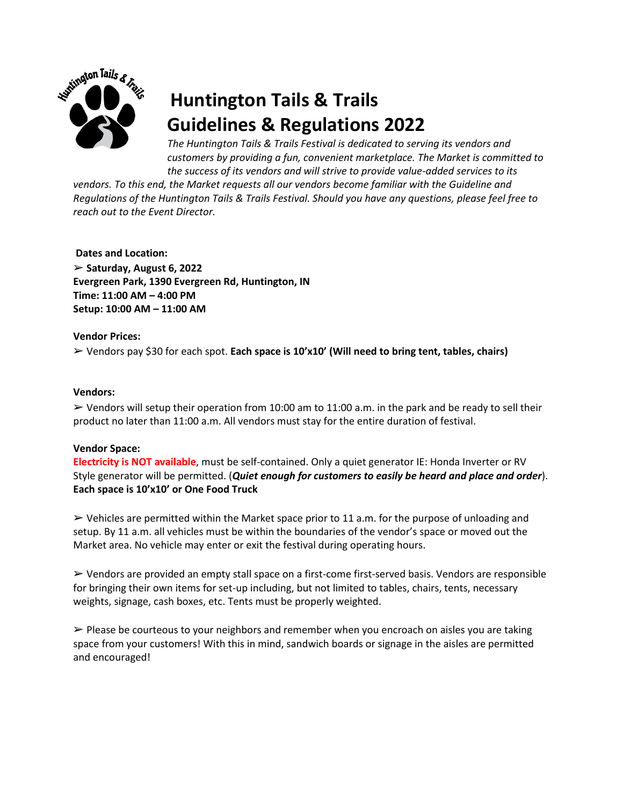

# **Huntington Tails & Trails Guidelines & Regulations 2022**

*The Huntington Tails & Trails Festival is dedicated to serving its vendors and customers by providing a fun, convenient marketplace. The Market is committed to the success of its vendors and will strive to provide value-added services to its* 

*vendors. To this end, the Market requests all our vendors become familiar with the Guideline and Regulations of the Huntington Tails & Trails Festival. Should you have any questions, please feel free to reach out to the Event Director.* 

**Dates and Location:** 

➢ **Saturday, August 6, 2022 Evergreen Park, 1390 Evergreen Rd, Huntington, IN Time: 11:00 AM – 4:00 PM Setup: 10:00 AM – 11:00 AM**

# **Vendor Prices:**

➢ Vendors pay \$30 for each spot. **Each space is 10'x10' (Will need to bring tent, tables, chairs)**

## **Vendors:**

 $\triangleright$  Vendors will setup their operation from 10:00 am to 11:00 a.m. in the park and be ready to sell their product no later than 11:00 a.m. All vendors must stay for the entire duration of festival.

#### **Vendor Space:**

**Electricity is NOT available**, must be self-contained. Only a quiet generator IE: Honda Inverter or RV Style generator will be permitted. (*Quiet enough for customers to easily be heard and place and order*). **Each space is 10'x10' or One Food Truck**

 $\triangleright$  Vehicles are permitted within the Market space prior to 11 a.m. for the purpose of unloading and setup. By 11 a.m. all vehicles must be within the boundaries of the vendor's space or moved out the Market area. No vehicle may enter or exit the festival during operating hours.

➢ Vendors are provided an empty stall space on a first-come first-served basis. Vendors are responsible for bringing their own items for set-up including, but not limited to tables, chairs, tents, necessary weights, signage, cash boxes, etc. Tents must be properly weighted.

 $\triangleright$  Please be courteous to your neighbors and remember when you encroach on aisles you are taking space from your customers! With this in mind, sandwich boards or signage in the aisles are permitted and encouraged!